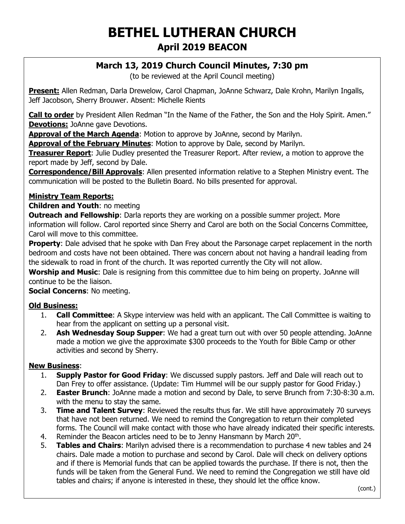# **BETHEL LUTHERAN CHURCH April 2019 BEACON**

## **March 13, 2019 Church Council Minutes, 7:30 pm**

(to be reviewed at the April Council meeting)

**Present:** Allen Redman, Darla Drewelow, Carol Chapman, JoAnne Schwarz, Dale Krohn, Marilyn Ingalls, Jeff Jacobson, Sherry Brouwer. Absent: Michelle Rients

**Call to order** by President Allen Redman "In the Name of the Father, the Son and the Holy Spirit. Amen." **Devotions:** JoAnne gave Devotions.

**Approval of the March Agenda**: Motion to approve by JoAnne, second by Marilyn.

**Approval of the February Minutes**: Motion to approve by Dale, second by Marilyn.

**Treasurer Report**: Julie Dudley presented the Treasurer Report. After review, a motion to approve the report made by Jeff, second by Dale.

**Correspondence/Bill Approvals**: Allen presented information relative to a Stephen Ministry event. The communication will be posted to the Bulletin Board. No bills presented for approval.

#### **Ministry Team Reports:**

**Children and Youth**: no meeting

**Outreach and Fellowship:** Darla reports they are working on a possible summer project. More information will follow. Carol reported since Sherry and Carol are both on the Social Concerns Committee, Carol will move to this committee.

**Property:** Dale advised that he spoke with Dan Frey about the Parsonage carpet replacement in the north bedroom and costs have not been obtained. There was concern about not having a handrail leading from the sidewalk to road in front of the church. It was reported currently the City will not allow.

**Worship and Music**: Dale is resigning from this committee due to him being on property. JoAnne will continue to be the liaison.

**Social Concerns**: No meeting.

#### **Old Business:**

- 1. **Call Committee**: A Skype interview was held with an applicant. The Call Committee is waiting to hear from the applicant on setting up a personal visit.
- 2. **Ash Wednesday Soup Supper**: We had a great turn out with over 50 people attending. JoAnne made a motion we give the approximate \$300 proceeds to the Youth for Bible Camp or other activities and second by Sherry.

#### **New Business**:

- 1. **Supply Pastor for Good Friday**: We discussed supply pastors. Jeff and Dale will reach out to Dan Frey to offer assistance. (Update: Tim Hummel will be our supply pastor for Good Friday.)
- 2. **Easter Brunch**: JoAnne made a motion and second by Dale, to serve Brunch from 7:30-8:30 a.m. with the menu to stay the same.
- 3. **Time and Talent Survey**: Reviewed the results thus far. We still have approximately 70 surveys that have not been returned. We need to remind the Congregation to return their completed forms. The Council will make contact with those who have already indicated their specific interests.
- 4. Reminder the Beacon articles need to be to Jenny Hansmann by March 20<sup>th</sup>.
- 5. **Tables and Chairs**: Marilyn advised there is a recommendation to purchase 4 new tables and 24 chairs. Dale made a motion to purchase and second by Carol. Dale will check on delivery options and if there is Memorial funds that can be applied towards the purchase. If there is not, then the funds will be taken from the General Fund. We need to remind the Congregation we still have old tables and chairs; if anyone is interested in these, they should let the office know.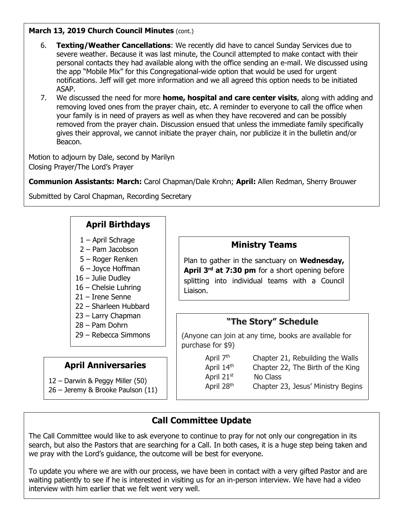#### **March 13, 2019 Church Council Minutes (cont.)**

- 6. **Texting/Weather Cancellations**: We recently did have to cancel Sunday Services due to severe weather. Because it was last minute, the Council attempted to make contact with their personal contacts they had available along with the office sending an e-mail. We discussed using the app "Mobile Mix" for this Congregational-wide option that would be used for urgent notifications. Jeff will get more information and we all agreed this option needs to be initiated ASAP.
- 7. We discussed the need for more **home, hospital and care center visits**, along with adding and removing loved ones from the prayer chain, etc. A reminder to everyone to call the office when your family is in need of prayers as well as when they have recovered and can be possibly removed from the prayer chain. Discussion ensued that unless the immediate family specifically gives their approval, we cannot initiate the prayer chain, nor publicize it in the bulletin and/or Beacon.

Motion to adjourn by Dale, second by Marilyn Closing Prayer/The Lord's Prayer

**Communion Assistants: March:** Carol Chapman/Dale Krohn; **April:** Allen Redman, Sherry Brouwer

Submitted by Carol Chapman, Recording Secretary

## **April Birthdays**

- 1 April Schrage
- 2 Pam Jacobson
- 5 Roger Renken
- 6 Joyce Hoffman
- 16 Julie Dudley
- 16 Chelsie Luhring
- 21 Irene Senne
- 22 Sharleen Hubbard
- 23 Larry Chapman
- 28 Pam Dohrn
- 29 Rebecca Simmons

## **April Anniversaries**

- 12 Darwin & Peggy Miller (50)
- 26 Jeremy & Brooke Paulson (11)

## **Ministry Teams**

Plan to gather in the sanctuary on **Wednesday,**  April 3<sup>rd</sup> at 7:30 pm for a short opening before splitting into individual teams with a Council Liaison.

## **"The Story" Schedule**

(Anyone can join at any time, books are available for purchase for \$9)

> April  $7<sup>th</sup>$  Chapter 21, Rebuilding the Walls April  $14<sup>th</sup>$  Chapter 22, The Birth of the King April 21st No Class April 28<sup>th</sup> Chapter 23, Jesus' Ministry Begins

## **Call Committee Update**

The Call Committee would like to ask everyone to continue to pray for not only our congregation in its search, but also the Pastors that are searching for a Call. In both cases, it is a huge step being taken and we pray with the Lord's guidance, the outcome will be best for everyone.

To update you where we are with our process, we have been in contact with a very gifted Pastor and are waiting patiently to see if he is interested in visiting us for an in-person interview. We have had a video interview with him earlier that we felt went very well.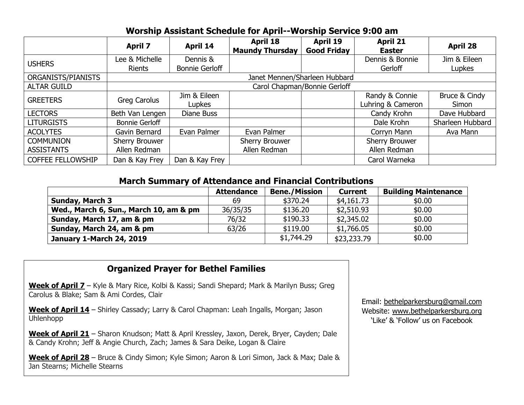#### **Worship Assistant Schedule for April--Worship Service 9:00 am**

|                                       | <b>April 7</b>                        | <b>April 14</b>                   | <b>April 18</b><br><b>Maundy Thursday</b> | April 19<br><b>Good Friday</b> | <b>April 21</b><br><b>Easter</b>      | <b>April 28</b>        |  |  |
|---------------------------------------|---------------------------------------|-----------------------------------|-------------------------------------------|--------------------------------|---------------------------------------|------------------------|--|--|
| <b>USHERS</b>                         | Lee & Michelle<br><b>Rients</b>       | Dennis &<br><b>Bonnie Gerloff</b> |                                           |                                | Dennis & Bonnie<br>Gerloff            | Jim & Eileen<br>Lupkes |  |  |
| ORGANISTS/PIANISTS                    | Janet Mennen/Sharleen Hubbard         |                                   |                                           |                                |                                       |                        |  |  |
| <b>ALTAR GUILD</b>                    | Carol Chapman/Bonnie Gerloff          |                                   |                                           |                                |                                       |                        |  |  |
| <b>GREETERS</b>                       | Greg Carolus                          | Jim & Eileen<br>Lupkes            |                                           |                                | Randy & Connie<br>Luhring & Cameron   | Bruce & Cindy<br>Simon |  |  |
| <b>LECTORS</b>                        | Beth Van Lengen                       | Diane Buss                        |                                           |                                | Candy Krohn                           | Dave Hubbard           |  |  |
| <b>LITURGISTS</b>                     | <b>Bonnie Gerloff</b>                 |                                   |                                           |                                | Dale Krohn                            | Sharleen Hubbard       |  |  |
| <b>ACOLYTES</b>                       | Gavin Bernard                         | Evan Palmer                       | Evan Palmer                               |                                | Corryn Mann                           | Ava Mann               |  |  |
| <b>COMMUNION</b><br><b>ASSISTANTS</b> | <b>Sherry Brouwer</b><br>Allen Redman |                                   | Sherry Brouwer<br>Allen Redman            |                                | <b>Sherry Brouwer</b><br>Allen Redman |                        |  |  |
| <b>COFFEE FELLOWSHIP</b>              | Dan & Kay Frey                        | Dan & Kay Frey                    |                                           |                                | Carol Warneka                         |                        |  |  |

#### **March Summary of Attendance and Financial Contributions**

|                                        | <b>Attendance</b> | <b>Bene./Mission</b> | <b>Current</b> | <b>Building Maintenance</b> |
|----------------------------------------|-------------------|----------------------|----------------|-----------------------------|
| <b>Sunday, March 3</b>                 | 69                | \$370.24             | \$4,161.73     | \$0.00                      |
| Wed., March 6, Sun., March 10, am & pm | 36/35/35          | \$136.20             | \$2,510.93     | \$0.00                      |
| Sunday, March 17, am & pm              | 76/32             | \$190.33             | \$2,345.02     | \$0.00                      |
| Sunday, March 24, am & pm              | 63/26             | \$119.00             | \$1,766.05     | \$0.00                      |
| <b>January 1-March 24, 2019</b>        |                   | \$1,744.29           | \$23,233.79    | \$0.00                      |

## **Organized Prayer for Bethel Families**

**Week of April 7** – Kyle & Mary Rice, Kolbi & Kassi; Sandi Shepard; Mark & Marilyn Buss; Greg Carolus & Blake; Sam & Ami Cordes, Clair

**Week of April 14** – Shirley Cassady; Larry & Carol Chapman: Leah Ingalls, Morgan; Jason Uhlenhopp

**Week of April 21** – Sharon Knudson; Matt & April Kressley, Jaxon, Derek, Bryer, Cayden; Dale & Candy Krohn; Jeff & Angie Church, Zach; James & Sara Deike, Logan & Claire

**Week of April 28** – Bruce & Cindy Simon; Kyle Simon; Aaron & Lori Simon, Jack & Max; Dale & Jan Stearns; Michelle Stearns

Email: bethelparkersburg@gmail.com Website: www.bethelparkersburg.org 'Like' & 'Follow' us on Facebook